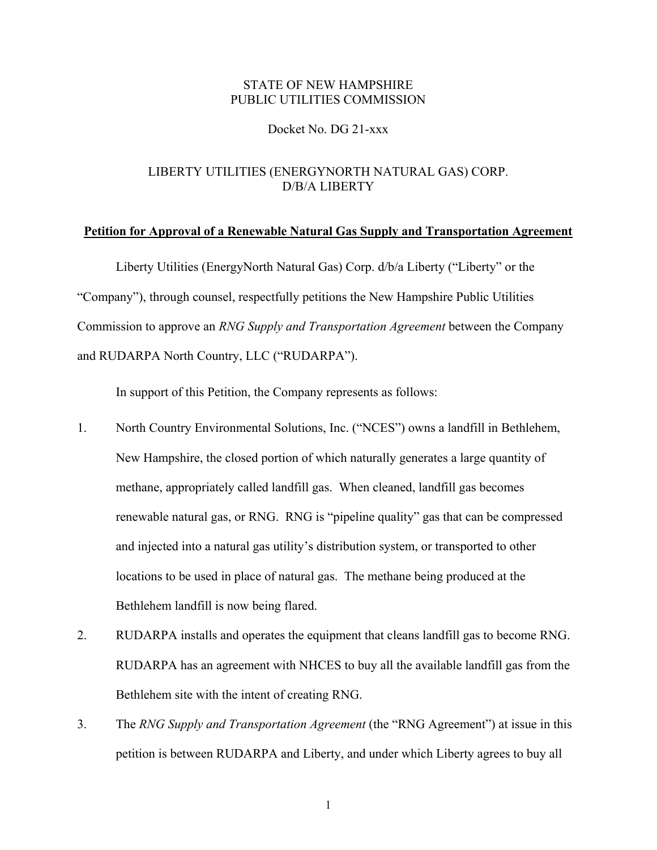### STATE OF NEW HAMPSHIRE PUBLIC UTILITIES COMMISSION

### Docket No. DG 21-xxx

## LIBERTY UTILITIES (ENERGYNORTH NATURAL GAS) CORP. D/B/A LIBERTY

#### **Petition for Approval of a Renewable Natural Gas Supply and Transportation Agreement**

Liberty Utilities (EnergyNorth Natural Gas) Corp. d/b/a Liberty ("Liberty" or the "Company"), through counsel, respectfully petitions the New Hampshire Public Utilities Commission to approve an *RNG Supply and Transportation Agreement* between the Company and RUDARPA North Country, LLC ("RUDARPA").

In support of this Petition, the Company represents as follows:

- 1. North Country Environmental Solutions, Inc. ("NCES") owns a landfill in Bethlehem, New Hampshire, the closed portion of which naturally generates a large quantity of methane, appropriately called landfill gas. When cleaned, landfill gas becomes renewable natural gas, or RNG. RNG is "pipeline quality" gas that can be compressed and injected into a natural gas utility's distribution system, or transported to other locations to be used in place of natural gas. The methane being produced at the Bethlehem landfill is now being flared.
- 2. RUDARPA installs and operates the equipment that cleans landfill gas to become RNG. RUDARPA has an agreement with NHCES to buy all the available landfill gas from the Bethlehem site with the intent of creating RNG.
- 3. The *RNG Supply and Transportation Agreement* (the "RNG Agreement") at issue in this petition is between RUDARPA and Liberty, and under which Liberty agrees to buy all

1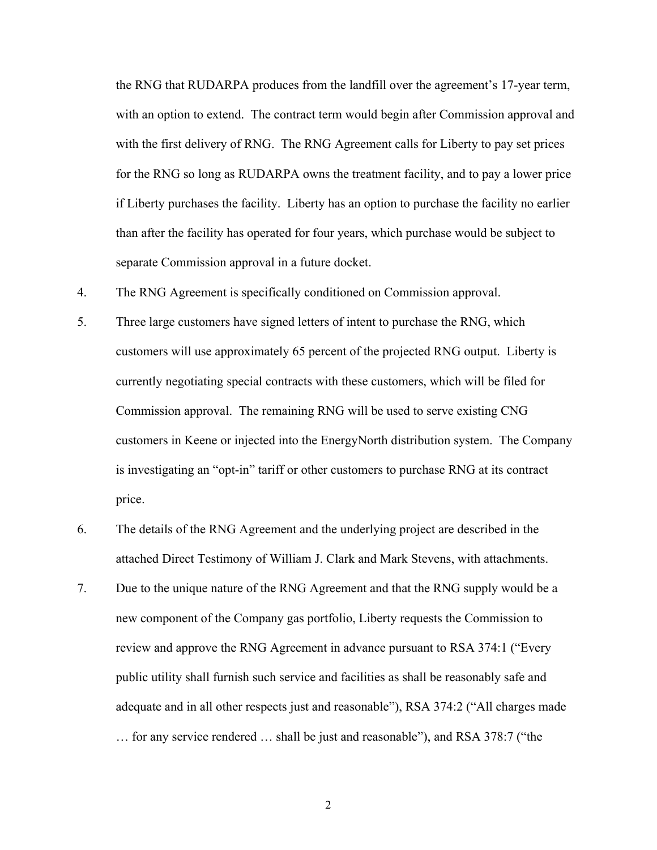the RNG that RUDARPA produces from the landfill over the agreement's 17-year term, with an option to extend. The contract term would begin after Commission approval and with the first delivery of RNG. The RNG Agreement calls for Liberty to pay set prices for the RNG so long as RUDARPA owns the treatment facility, and to pay a lower price if Liberty purchases the facility. Liberty has an option to purchase the facility no earlier than after the facility has operated for four years, which purchase would be subject to separate Commission approval in a future docket.

- 4. The RNG Agreement is specifically conditioned on Commission approval.
- 5. Three large customers have signed letters of intent to purchase the RNG, which customers will use approximately 65 percent of the projected RNG output. Liberty is currently negotiating special contracts with these customers, which will be filed for Commission approval. The remaining RNG will be used to serve existing CNG customers in Keene or injected into the EnergyNorth distribution system. The Company is investigating an "opt-in" tariff or other customers to purchase RNG at its contract price.
- 6. The details of the RNG Agreement and the underlying project are described in the attached Direct Testimony of William J. Clark and Mark Stevens, with attachments.
- 7. Due to the unique nature of the RNG Agreement and that the RNG supply would be a new component of the Company gas portfolio, Liberty requests the Commission to review and approve the RNG Agreement in advance pursuant to RSA 374:1 ("Every public utility shall furnish such service and facilities as shall be reasonably safe and adequate and in all other respects just and reasonable"), RSA 374:2 ("All charges made … for any service rendered … shall be just and reasonable"), and RSA 378:7 ("the

2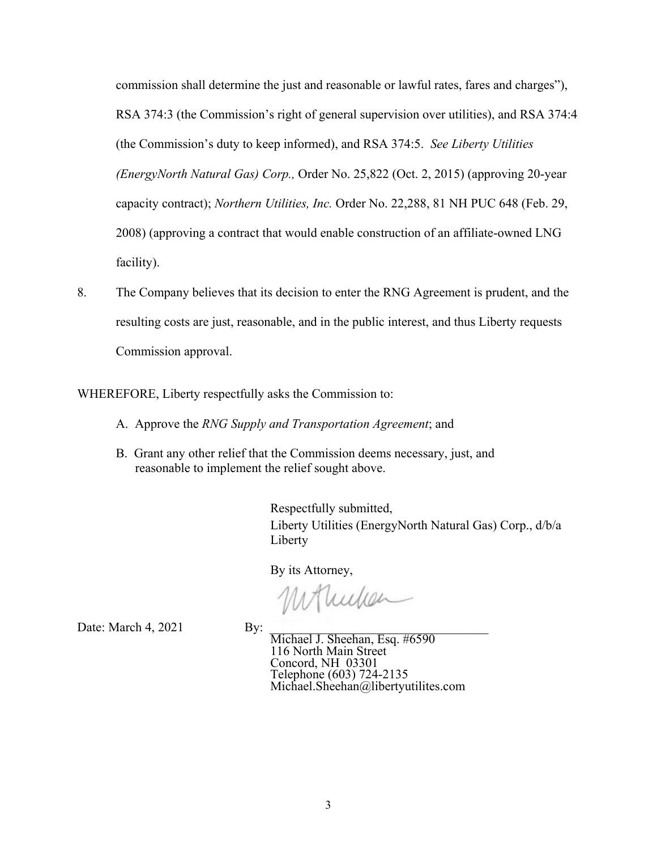commission shall determine the just and reasonable or lawful rates, fares and charges"), RSA 374:3 (the Commission's right of general supervision over utilities), and RSA 374:4 (the Commission's duty to keep informed), and RSA 374:5. *See Liberty Utilities (EnergyNorth Natural Gas) Corp.,* Order No. 25,822 (Oct. 2, 2015) (approving 20-year capacity contract); *Northern Utilities, Inc.* Order No. 22,288, 81 NH PUC 648 (Feb. 29, 2008) (approving a contract that would enable construction of an affiliate-owned LNG facility).

8. The Company believes that its decision to enter the RNG Agreement is prudent, and the resulting costs are just, reasonable, and in the public interest, and thus Liberty requests Commission approval.

WHEREFORE, Liberty respectfully asks the Commission to:

- A. Approve the *RNG Supply and Transportation Agreement*; and
- B. Grant any other relief that the Commission deems necessary, just, and reasonable to implement the relief sought above.

Respectfully submitted, Liberty Utilities (EnergyNorth Natural Gas) Corp., d/b/a Liberty

By its Attorney,

Monuten

l,

Date: March  $4, 2021$  By: By: Michael J. Sheehan, Esq. #6590 116 North Main Street Concord, NH 03301 Telephone (603) 724-2135 Michael.Sheehan@libertyutilites.com